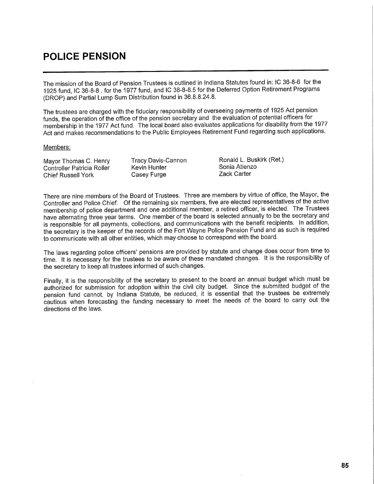## **POLICE PENSION**

The mission of the Board of Pension Trustees is outlined in Indiana Statutes found in: IC 36-8-6 for the 1925 fund, IC 36-8-8 . for the 1977 fund, and IC 38-8-8.5 for the Deferred Option Retirement Programs (DROP) and Partial Lump Sum Distribution found in 36.8.8.24.8.

The trustees are charged with the fiduciary responsibility of overseeing payments of 1925 Act pension funds, the operation of the office of the pension secretary and the evaluation of potential officers for membership in the 1977 Act fund. The local board also evaluates applications for disability from the 1977 Act and makes recommendations to the Public Employees Retirement Fund regarding such applications.

## Members:

| Mayor Thomas C. Henry      | Tracy Davis-Cannon | Ronald L. Buskirk (Ret.) |
|----------------------------|--------------------|--------------------------|
| Controller Patricia Roller | Kevin Hunter       | Sonia Atienzo            |
| Chief Russell York         | Casey Furge        | Zack Carter              |

There are nine members of the Board of Trustees. Three are members by virtue of office, the Mayor, the Controller and Police Chief. Of the remaining six members, five are elected representatives of the active membership of police department and one additional member, a retired officer, is elected. The Trustees have alternating three year terms. One member of the board is selected annually to be the secretary and is responsible for all payments, collections, and communications with the benefit recipients. In addition, the secretary is the keeper of the records of the Fort Wayne Police Pension Fund and as such is required to communicate with all other entities, which may choose to correspond with the board.

The laws regarding police officers' pensions are provided by statute and change does occur from time to time. It is necessary for the trustees to be aware of these mandated changes. It is the responsibility of the secretary to keep all trustees informed of such changes.

Finally, it is the responsibility of the secretary to present to the board an annual budget which must be authorized for submission for adoption within the civil city budget. Since the submitted budget of the pension fund cannot, by Indiana Statute, be reduced, it is essential that the trustees be extremely cautious when forecasting the funding necessary to meet the needs of the board to carry out the directions of the laws.